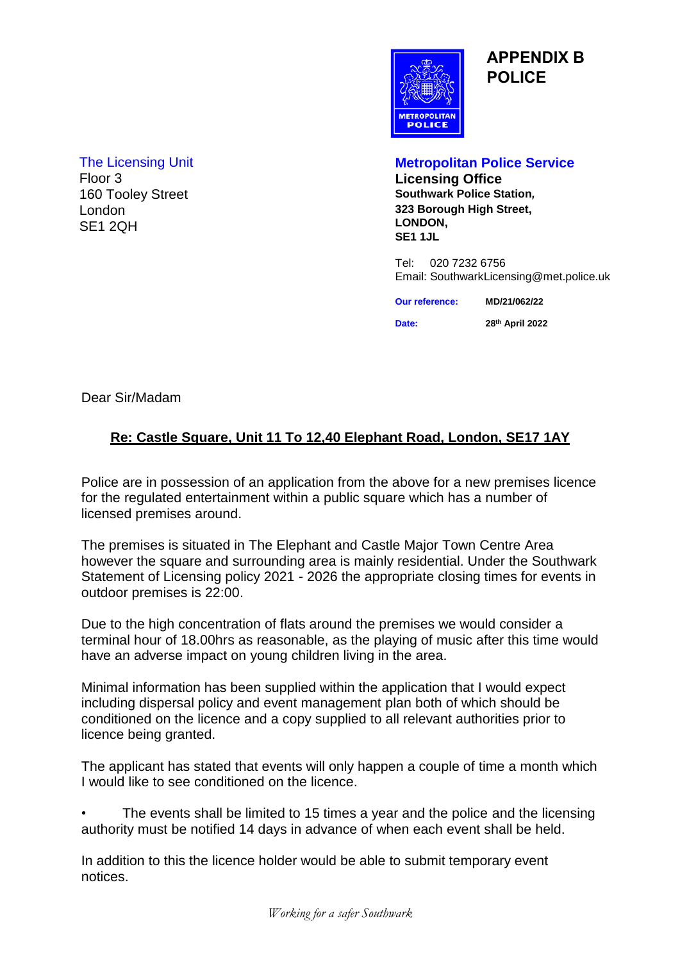

**APPENDIX B POLICE**

London SE1 2QH

#### The Licensing Unit **Metropolitan Police Service**

Floor 3 **Licensing Office** 160 Tooley Street **Southwark Police Station***,* **323 Borough High Street, LONDON, SE1 1JL**

> Tel: 020 7232 6756 Email: SouthwarkLicensing@met.police.uk

| <b>Our reference:</b> | MD/21/062/22    |  |  |  |  |  |
|-----------------------|-----------------|--|--|--|--|--|
| Date:                 | 28th April 2022 |  |  |  |  |  |

Dear Sir/Madam

### **Re: Castle Square, Unit 11 To 12,40 Elephant Road, London, SE17 1AY**

Police are in possession of an application from the above for a new premises licence for the regulated entertainment within a public square which has a number of licensed premises around.

The premises is situated in The Elephant and Castle Major Town Centre Area however the square and surrounding area is mainly residential. Under the Southwark Statement of Licensing policy 2021 - 2026 the appropriate closing times for events in outdoor premises is 22:00.

Due to the high concentration of flats around the premises we would consider a terminal hour of 18.00hrs as reasonable, as the playing of music after this time would have an adverse impact on young children living in the area.

Minimal information has been supplied within the application that I would expect including dispersal policy and event management plan both of which should be conditioned on the licence and a copy supplied to all relevant authorities prior to licence being granted.

The applicant has stated that events will only happen a couple of time a month which I would like to see conditioned on the licence.

• The events shall be limited to 15 times a year and the police and the licensing authority must be notified 14 days in advance of when each event shall be held.

In addition to this the licence holder would be able to submit temporary event notices.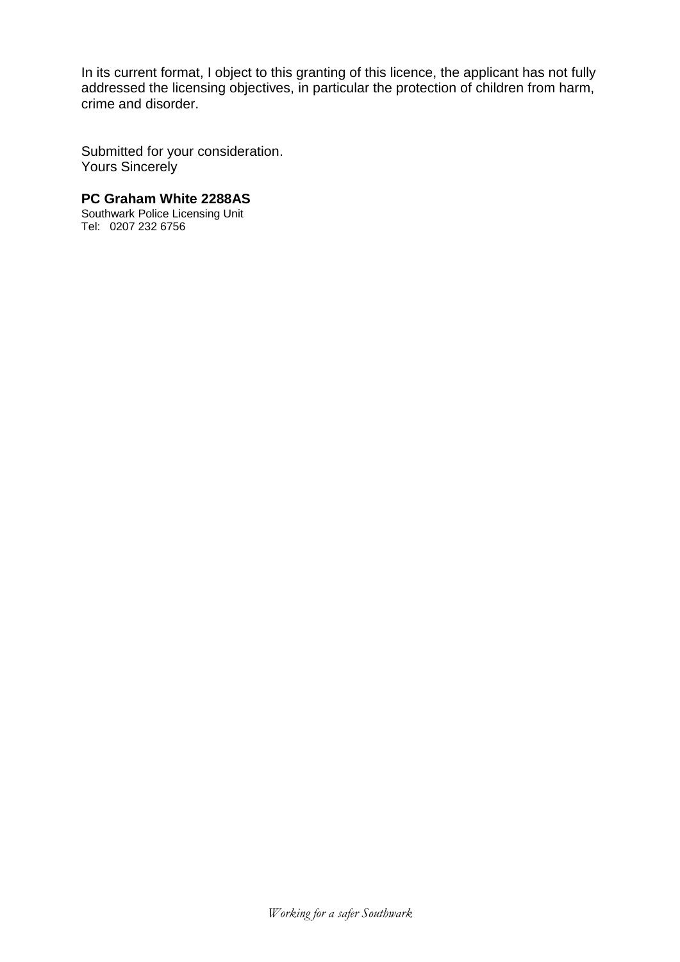In its current format, I object to this granting of this licence, the applicant has not fully addressed the licensing objectives, in particular the protection of children from harm, crime and disorder.

Submitted for your consideration. Yours Sincerely

**PC Graham White 2288AS**

Southwark Police Licensing Unit Tel: 0207 232 6756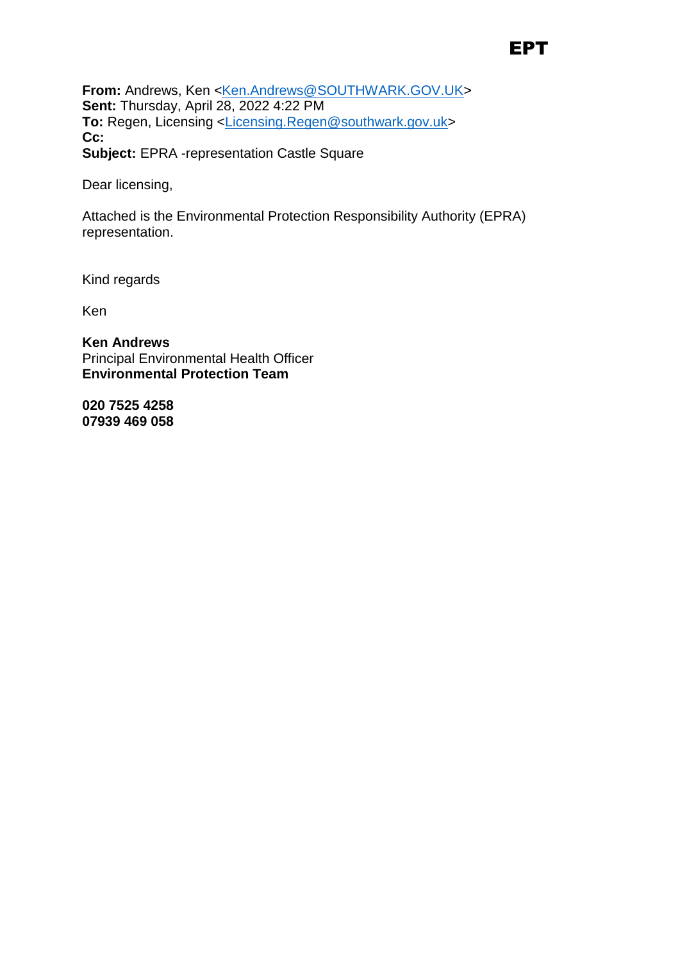## EPT

From: Andrews, Ken <Ken.Andrews@SOUTHWARK.GOV.UK> **Sent:** Thursday, April 28, 2022 4:22 PM **To:** Regen, Licensing <Licensing.Regen@southwark.gov.uk> **Cc: Subject:** EPRA -representation Castle Square

Dear licensing,

Attached is the Environmental Protection Responsibility Authority (EPRA) representation.

Kind regards

Ken

**Ken Andrews** Principal Environmental Health Officer **Environmental Protection Team**

**020 7525 4258 07939 469 058**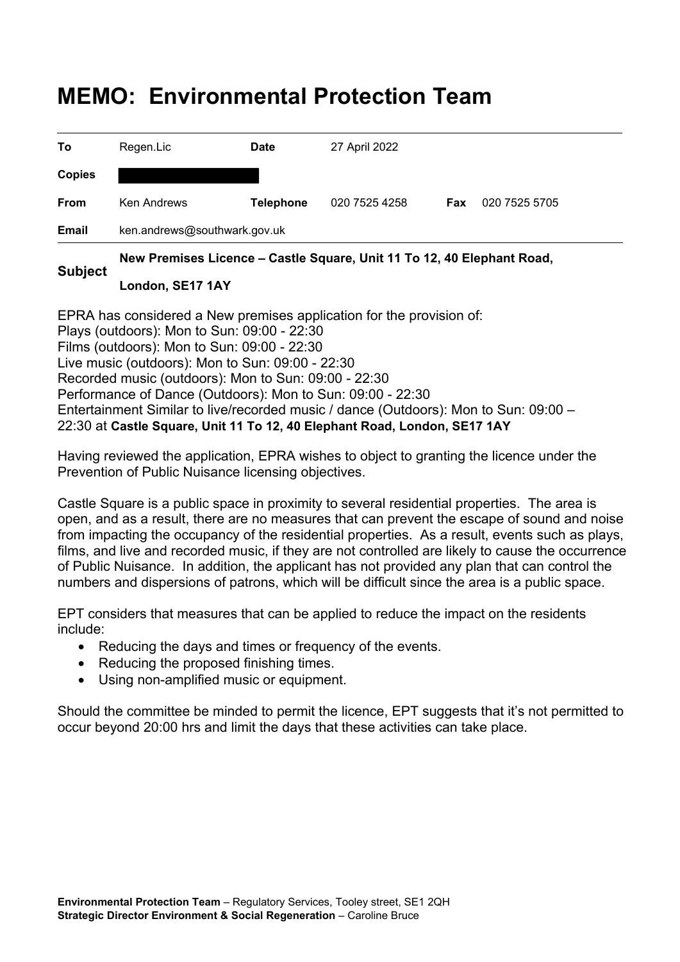# **MEMO: Environmental Protection Team**

|               | ken.andrews@southwark.gov.uk<br>New Premises Licence - Castle Square, Unit 11 To 12, 40 Flephant Road |                  |               |            |               |  |
|---------------|-------------------------------------------------------------------------------------------------------|------------------|---------------|------------|---------------|--|
| Email         |                                                                                                       |                  |               |            |               |  |
| From          | <b>Ken Andrews</b>                                                                                    | <b>Telephone</b> | 020 7525 4258 | <b>Fax</b> | 020 7525 5705 |  |
| <b>Copies</b> |                                                                                                       |                  |               |            |               |  |
| To            | Regen.Lic                                                                                             | <b>Date</b>      | 27 April 2022 |            |               |  |

#### **Subject New Premises Licence – Castle Square, Unit 11 To 12, 40 Elephant Road,**

#### **London, SE17 1AY**

EPRA has considered a New premises application for the provision of: Plays (outdoors): Mon to Sun: 09:00 - 22:30 Films (outdoors): Mon to Sun: 09:00 - 22:30 Live music (outdoors): Mon to Sun: 09:00 - 22:30 Recorded music (outdoors): Mon to Sun: 09:00 - 22:30 Performance of Dance (Outdoors): Mon to Sun: 09:00 - 22:30 Entertainment Similar to live/recorded music / dance (Outdoors): Mon to Sun: 09:00 – 22:30 at **Castle Square, Unit 11 To 12, 40 Elephant Road, London, SE17 1AY** 

Having reviewed the application, EPRA wishes to object to granting the licence under the Prevention of Public Nuisance licensing objectives.

Castle Square is a public space in proximity to several residential properties. The area is open, and as a result, there are no measures that can prevent the escape of sound and noise from impacting the occupancy of the residential properties. As a result, events such as plays, films, and live and recorded music, if they are not controlled are likely to cause the occurrence of Public Nuisance. In addition, the applicant has not provided any plan that can control the numbers and dispersions of patrons, which will be difficult since the area is a public space.

EPT considers that measures that can be applied to reduce the impact on the residents include:

- Reducing the days and times or frequency of the events.
- Reducing the proposed finishing times.
- Using non-amplified music or equipment.

Should the committee be minded to permit the licence, EPT suggests that it's not permitted to occur beyond 20:00 hrs and limit the days that these activities can take place.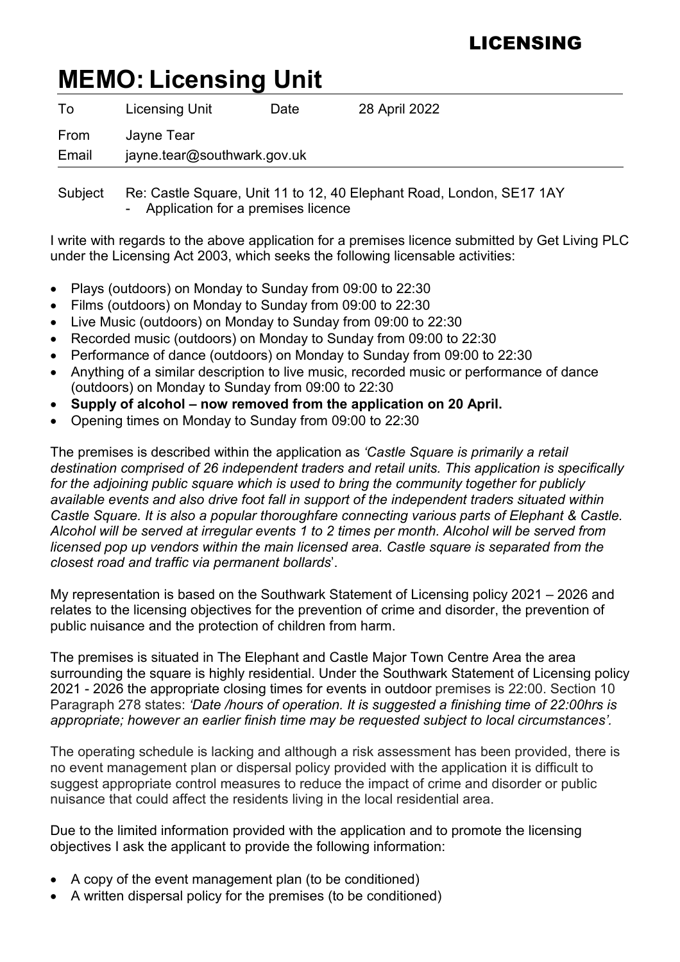# LICENSING

# **MEMO: Licensing Unit**

| To    | Licensing Unit              | Date | 28 April 2022 |  |  |
|-------|-----------------------------|------|---------------|--|--|
| From  | Jayne Tear                  |      |               |  |  |
| Email | jayne.tear@southwark.gov.uk |      |               |  |  |
|       |                             |      |               |  |  |

 Subject Re: Castle Square, Unit 11 to 12, 40 Elephant Road, London, SE17 1AY Application for a premises licence

I write with regards to the above application for a premises licence submitted by Get Living PLC under the Licensing Act 2003, which seeks the following licensable activities:

- Plays (outdoors) on Monday to Sunday from 09:00 to 22:30
- Films (outdoors) on Monday to Sunday from 09:00 to 22:30
- Live Music (outdoors) on Monday to Sunday from 09:00 to 22:30
- Recorded music (outdoors) on Monday to Sunday from 09:00 to 22:30
- Performance of dance (outdoors) on Monday to Sunday from 09:00 to 22:30
- Anything of a similar description to live music, recorded music or performance of dance (outdoors) on Monday to Sunday from 09:00 to 22:30
- **Supply of alcohol now removed from the application on 20 April.**
- Opening times on Monday to Sunday from 09:00 to 22:30

The premises is described within the application as *'Castle Square is primarily a retail destination comprised of 26 independent traders and retail units. This application is specifically for the adjoining public square which is used to bring the community together for publicly available events and also drive foot fall in support of the independent traders situated within Castle Square. It is also a popular thoroughfare connecting various parts of Elephant & Castle. Alcohol will be served at irregular events 1 to 2 times per month. Alcohol will be served from licensed pop up vendors within the main licensed area. Castle square is separated from the closest road and traffic via permanent bollards*'.

My representation is based on the Southwark Statement of Licensing policy 2021 – 2026 and relates to the licensing objectives for the prevention of crime and disorder, the prevention of public nuisance and the protection of children from harm.

The premises is situated in The Elephant and Castle Major Town Centre Area the area surrounding the square is highly residential. Under the Southwark Statement of Licensing policy 2021 - 2026 the appropriate closing times for events in outdoor premises is 22:00. Section 10 Paragraph 278 states: *'Date /hours of operation. It is suggested a finishing time of 22:00hrs is appropriate; however an earlier finish time may be requested subject to local circumstances'.* 

The operating schedule is lacking and although a risk assessment has been provided, there is no event management plan or dispersal policy provided with the application it is difficult to suggest appropriate control measures to reduce the impact of crime and disorder or public nuisance that could affect the residents living in the local residential area.

Due to the limited information provided with the application and to promote the licensing objectives I ask the applicant to provide the following information:

- A copy of the event management plan (to be conditioned)
- A written dispersal policy for the premises (to be conditioned)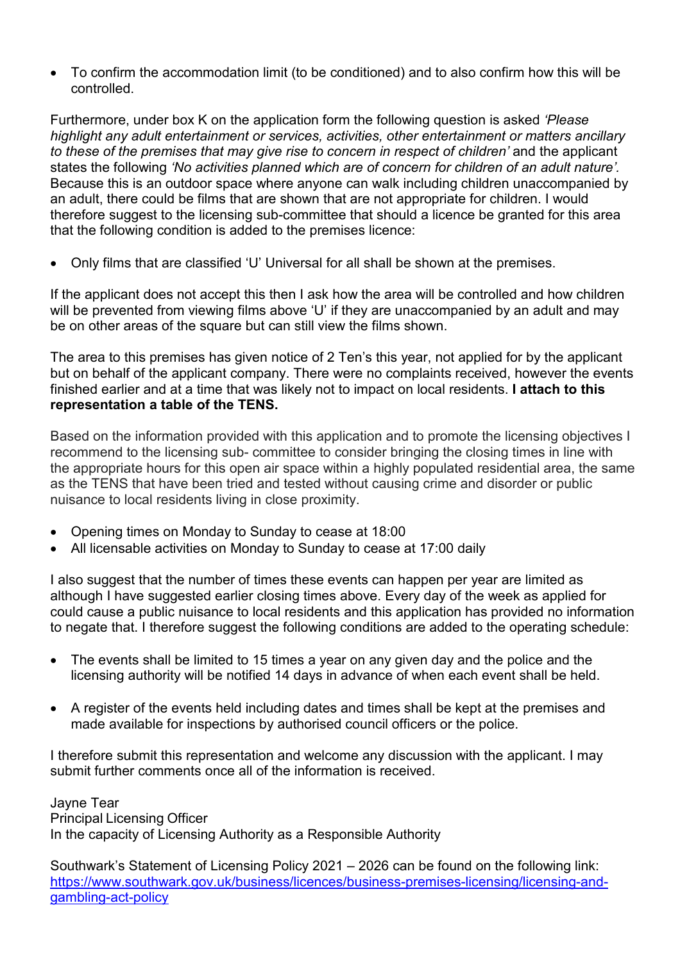• To confirm the accommodation limit (to be conditioned) and to also confirm how this will be controlled.

Furthermore, under box K on the application form the following question is asked *'Please highlight any adult entertainment or services, activities, other entertainment or matters ancillary*  to these of the premises that may give rise to concern in respect of children' and the applicant states the following *'No activities planned which are of concern for children of an adult nature'.*  Because this is an outdoor space where anyone can walk including children unaccompanied by an adult, there could be films that are shown that are not appropriate for children. I would therefore suggest to the licensing sub-committee that should a licence be granted for this area that the following condition is added to the premises licence:

• Only films that are classified 'U' Universal for all shall be shown at the premises.

If the applicant does not accept this then I ask how the area will be controlled and how children will be prevented from viewing films above 'U' if they are unaccompanied by an adult and may be on other areas of the square but can still view the films shown.

The area to this premises has given notice of 2 Ten's this year, not applied for by the applicant but on behalf of the applicant company. There were no complaints received, however the events finished earlier and at a time that was likely not to impact on local residents. **I attach to this representation a table of the TENS.**

Based on the information provided with this application and to promote the licensing objectives I recommend to the licensing sub- committee to consider bringing the closing times in line with the appropriate hours for this open air space within a highly populated residential area, the same as the TENS that have been tried and tested without causing crime and disorder or public nuisance to local residents living in close proximity.

- Opening times on Monday to Sunday to cease at 18:00
- All licensable activities on Monday to Sunday to cease at 17:00 daily

I also suggest that the number of times these events can happen per year are limited as although I have suggested earlier closing times above. Every day of the week as applied for could cause a public nuisance to local residents and this application has provided no information to negate that. I therefore suggest the following conditions are added to the operating schedule:

- The events shall be limited to 15 times a year on any given day and the police and the licensing authority will be notified 14 days in advance of when each event shall be held.
- A register of the events held including dates and times shall be kept at the premises and made available for inspections by authorised council officers or the police.

I therefore submit this representation and welcome any discussion with the applicant. I may submit further comments once all of the information is received.

Jayne Tear Principal Licensing Officer In the capacity of Licensing Authority as a Responsible Authority

Southwark's Statement of Licensing Policy 2021 – 2026 can be found on the following link: https://www.southwark.gov.uk/business/licences/business-premises-licensing/licensing-andgambling-act-policy